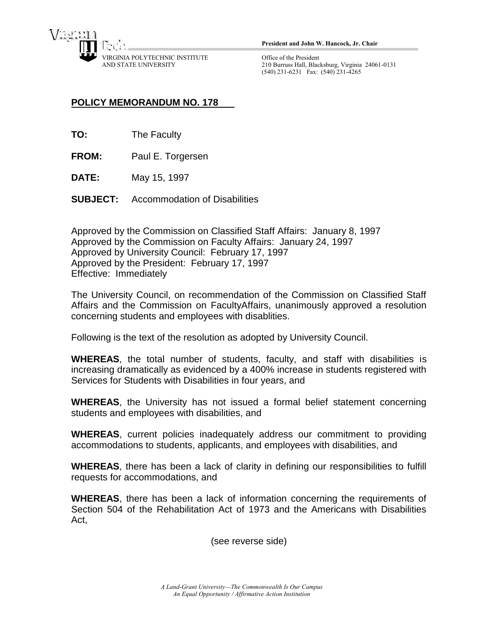

**President and John W. Hancock, Jr. Chair**

Office of the President 210 Burruss Hall, Blacksburg, Virginia 24061-0131 (540) 231-6231 Fax: (540) 231-4265

## **POLICY MEMORANDUM NO. 178**

- **TO:** The Faculty
- **FROM:** Paul E. Torgersen
- **DATE:** May 15, 1997
- **SUBJECT:** Accommodation of Disabilities

Approved by the Commission on Classified Staff Affairs: January 8, 1997 Approved by the Commission on Faculty Affairs: January 24, 1997 Approved by University Council: February 17, 1997 Approved by the President: February 17, 1997 Effective: Immediately

The University Council, on recommendation of the Commission on Classified Staff Affairs and the Commission on FacultyAffairs, unanimously approved a resolution concerning students and employees with disablities.

Following is the text of the resolution as adopted by University Council.

**WHEREAS**, the total number of students, faculty, and staff with disabilities is increasing dramatically as evidenced by a 400% increase in students registered with Services for Students with Disabilities in four years, and

**WHEREAS**, the University has not issued a formal belief statement concerning students and employees with disabilities, and

**WHEREAS**, current policies inadequately address our commitment to providing accommodations to students, applicants, and employees with disabilities, and

**WHEREAS**, there has been a lack of clarity in defining our responsibilities to fulfill requests for accommodations, and

**WHEREAS**, there has been a lack of information concerning the requirements of Section 504 of the Rehabilitation Act of 1973 and the Americans with Disabilities Act,

(see reverse side)